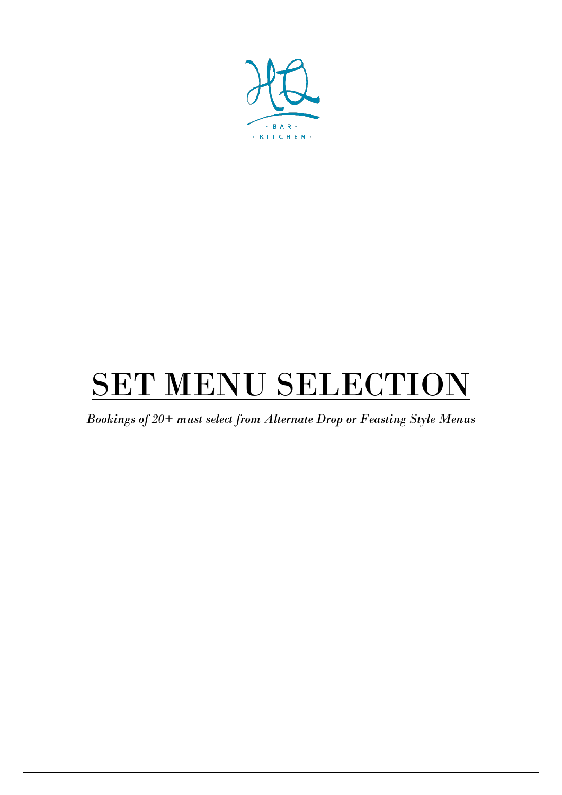

# SET MENU SELECTION

*Bookings of 20+ must select from Alternate Drop or Feasting Style Menus*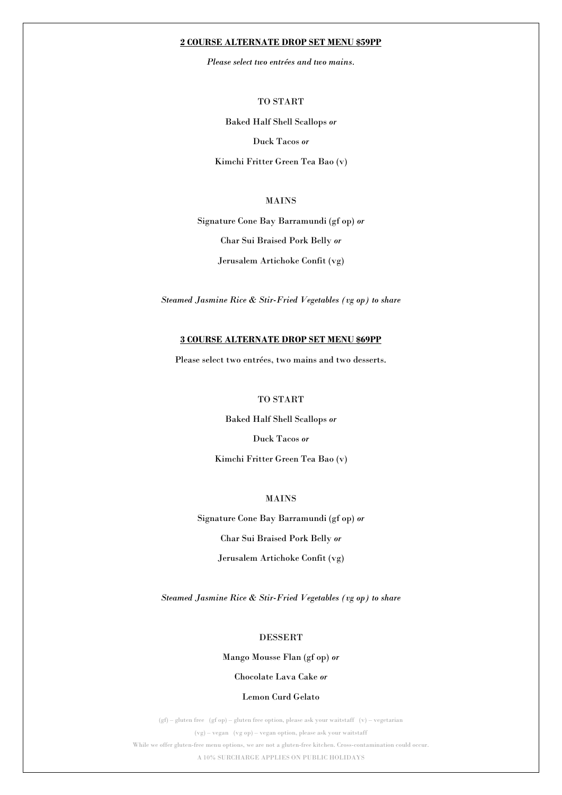#### **2 COURSE ALTERNATE DROP SET MENU \$59PP**

*Please select two entrées and two mains.*

TO START

Baked Half Shell Scallops *or*

Duck Tacos *or*

Kimchi Fritter Green Tea Bao (v)

### MAINS

Signature Cone Bay Barramundi (gf op) *or* Char Sui Braised Pork Belly *or* Jerusalem Artichoke Confit (vg)

*Steamed Jasmine Rice & Stir-Fried Vegetables (vg op) to share*

#### **3 COURSE ALTERNATE DROP SET MENU \$69PP**

Please select two entrées, two mains and two desserts.

### TO START

Baked Half Shell Scallops *or* Duck Tacos *or*

Kimchi Fritter Green Tea Bao (v)

#### MAINS

Signature Cone Bay Barramundi (gf op) *or* Char Sui Braised Pork Belly *or* Jerusalem Artichoke Confit (vg)

*Steamed Jasmine Rice & Stir-Fried Vegetables (vg op) to share*

#### DESSERT

#### Mango Mousse Flan (gf op) *or*

# Chocolate Lava Cake *or*

#### Lemon Curd Gelato

(gf) – gluten free (gf op) – gluten free option, please ask your waitstaff (v) – vegetarian (vg) – vegan (vg op) – vegan option, please ask your waitstaff While we offer gluten-free menu options, we are not a gluten-free kitchen. Cross-contamination could occur. A 10% SURCHARGE APPLIES ON PUBLIC HOLIDAYS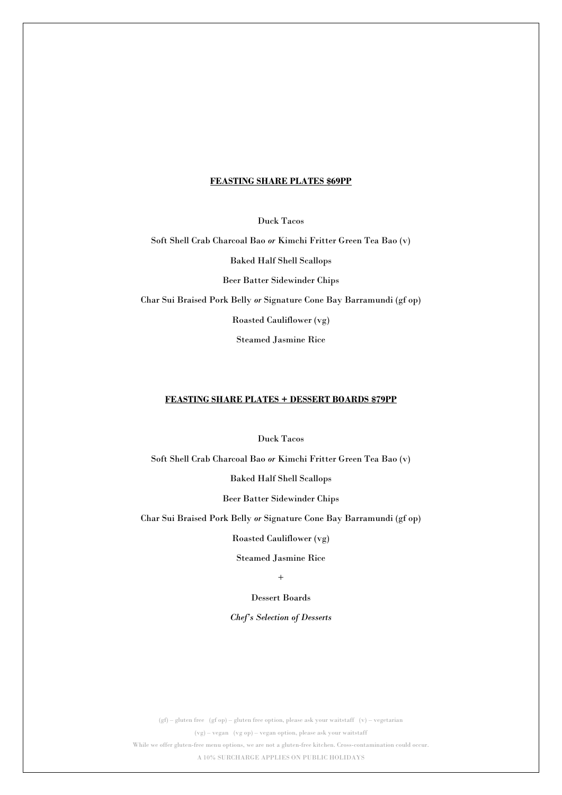#### **FEASTING SHARE PLATES \$69PP**

Duck Tacos

Soft Shell Crab Charcoal Bao *or* Kimchi Fritter Green Tea Bao (v) Baked Half Shell Scallops Beer Batter Sidewinder Chips Char Sui Braised Pork Belly *or* Signature Cone Bay Barramundi (gf op)

Roasted Cauliflower (vg)

Steamed Jasmine Rice

### **FEASTING SHARE PLATES + DESSERT BOARDS \$79PP**

Duck Tacos

Soft Shell Crab Charcoal Bao *or* Kimchi Fritter Green Tea Bao (v)

Baked Half Shell Scallops

Beer Batter Sidewinder Chips

Char Sui Braised Pork Belly *or* Signature Cone Bay Barramundi (gf op)

Roasted Cauliflower (vg)

Steamed Jasmine Rice

+

# Dessert Boards

#### *Chef's Selection of Desserts*

(gf) – gluten free (gf op) – gluten free option, please ask your waitstaff (v) – vegetarian (vg) – vegan (vg op) – vegan option, please ask your waitstaff While we offer gluten-free menu options, we are not a gluten-free kitchen. Cross-contamination could occur. A 10% SURCHARGE APPLIES ON PUBLIC HOLIDAYS